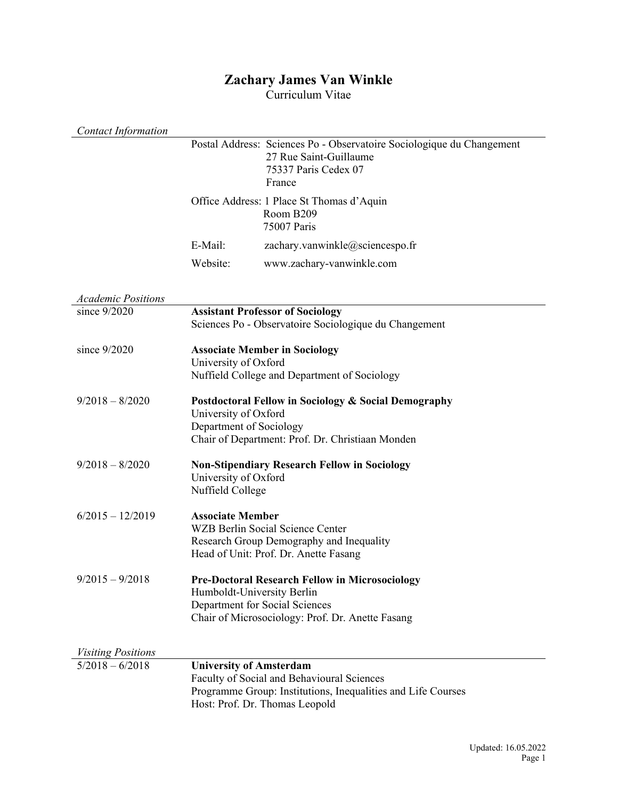## **Zachary James Van Winkle**

Curriculum Vitae

| <b>Contact Information</b> |                                                 |                                                                                                                                              |
|----------------------------|-------------------------------------------------|----------------------------------------------------------------------------------------------------------------------------------------------|
|                            |                                                 | Postal Address: Sciences Po - Observatoire Sociologique du Changement<br>27 Rue Saint-Guillaume<br>75337 Paris Cedex 07<br>France            |
|                            |                                                 | Office Address: 1 Place St Thomas d'Aquin<br>Room B209<br>75007 Paris                                                                        |
|                            | E-Mail:                                         | zachary.vanwinkle@sciencespo.fr                                                                                                              |
|                            | Website:                                        | www.zachary-vanwinkle.com                                                                                                                    |
| <b>Academic Positions</b>  |                                                 |                                                                                                                                              |
| since 9/2020               |                                                 | <b>Assistant Professor of Sociology</b><br>Sciences Po - Observatoire Sociologique du Changement                                             |
| since 9/2020               | University of Oxford                            | <b>Associate Member in Sociology</b><br>Nuffield College and Department of Sociology                                                         |
| $9/2018 - 8/2020$          | University of Oxford<br>Department of Sociology | Postdoctoral Fellow in Sociology & Social Demography<br>Chair of Department: Prof. Dr. Christiaan Monden                                     |
| $9/2018 - 8/2020$          | University of Oxford<br>Nuffield College        | <b>Non-Stipendiary Research Fellow in Sociology</b>                                                                                          |
| $6/2015 - 12/2019$         | <b>Associate Member</b>                         | <b>WZB Berlin Social Science Center</b><br>Research Group Demography and Inequality<br>Head of Unit: Prof. Dr. Anette Fasang                 |
| $9/2015 - 9/2018$          | Humboldt-University Berlin                      | <b>Pre-Doctoral Research Fellow in Microsociology</b><br>Department for Social Sciences<br>Chair of Microsociology: Prof. Dr. Anette Fasang  |
| <b>Visiting Positions</b>  |                                                 |                                                                                                                                              |
| $5/2018 - 6/2018$          | <b>University of Amsterdam</b>                  | Faculty of Social and Behavioural Sciences<br>Programme Group: Institutions, Inequalities and Life Courses<br>Host: Prof. Dr. Thomas Leopold |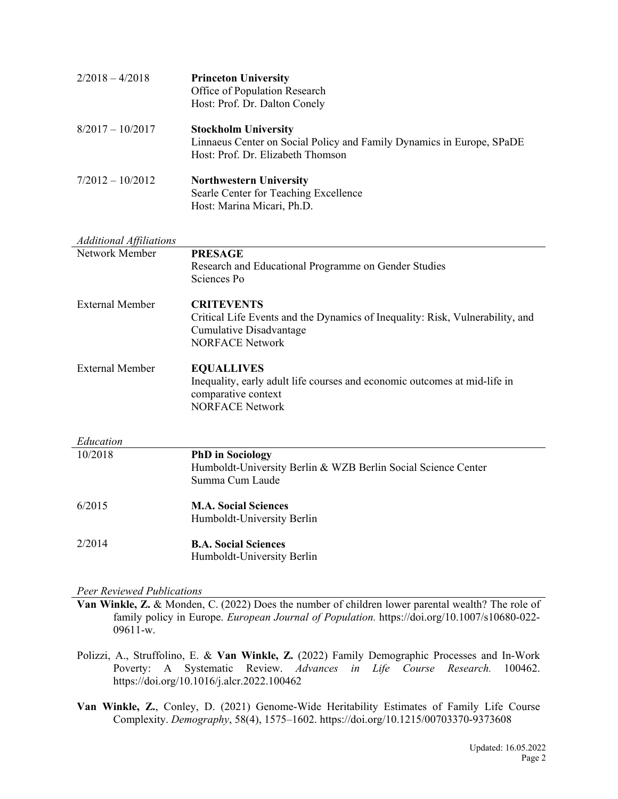| $2/2018 - 4/2018$  | <b>Princeton University</b><br>Office of Population Research<br>Host: Prof. Dr. Dalton Conely                                             |
|--------------------|-------------------------------------------------------------------------------------------------------------------------------------------|
| $8/2017 - 10/2017$ | <b>Stockholm University</b><br>Linnaeus Center on Social Policy and Family Dynamics in Europe, SPaDE<br>Host: Prof. Dr. Elizabeth Thomson |
| $7/2012 - 10/2012$ | <b>Northwestern University</b><br>Searle Center for Teaching Excellence<br>Host: Marina Micari, Ph.D.                                     |

# *Additional Affiliations* Network Member **PRESAGE** Research and Educational Programme on Gender Studies Sciences Po External Member **CRITEVENTS** Critical Life Events and the Dynamics of Inequality: Risk, Vulnerability, and Cumulative Disadvantage NORFACE Network External Member **EQUALLIVES** Inequality, early adult life courses and economic outcomes at mid-life in comparative context NORFACE Network

| Education |                                                               |
|-----------|---------------------------------------------------------------|
| 10/2018   | <b>PhD</b> in Sociology                                       |
|           | Humboldt-University Berlin & WZB Berlin Social Science Center |
|           | Summa Cum Laude                                               |
| 6/2015    | <b>M.A. Social Sciences</b>                                   |
|           | Humboldt-University Berlin                                    |
| 2/2014    | <b>B.A. Social Sciences</b>                                   |
|           | Humboldt-University Berlin                                    |

#### *Peer Reviewed Publications*

**Van Winkle, Z.** & Monden, C. (2022) Does the number of children lower parental wealth? The role of family policy in Europe. *European Journal of Population.* https://doi.org/10.1007/s10680-022- 09611-w.

- Polizzi, A., Struffolino, E. & **Van Winkle, Z.** (2022) Family Demographic Processes and In-Work Poverty: A Systematic Review. *Advances in Life Course Research.* 100462. https://doi.org/10.1016/j.alcr.2022.100462
- **Van Winkle, Z.**, Conley, D. (2021) Genome-Wide Heritability Estimates of Family Life Course Complexity. *Demography*, 58(4), 1575–1602. https://doi.org/10.1215/00703370-9373608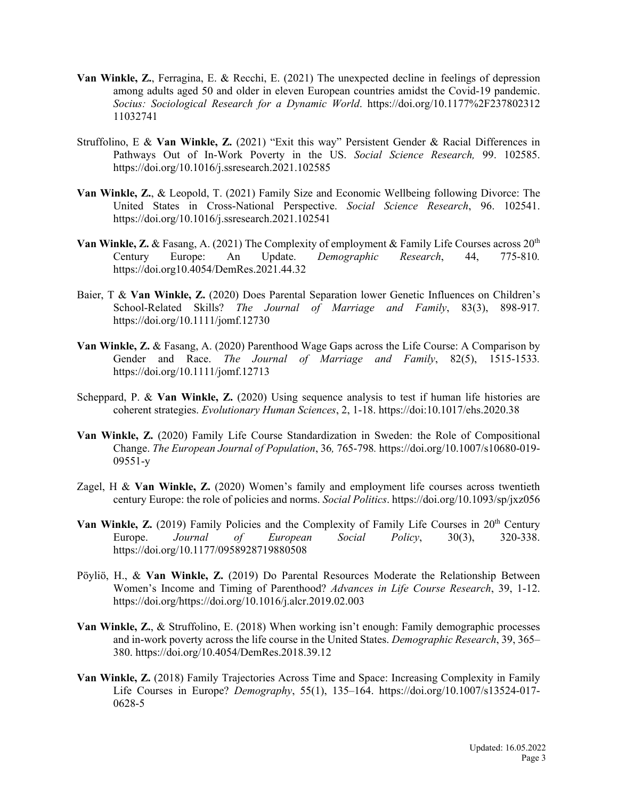- **Van Winkle, Z.**, Ferragina, E. & Recchi, E. (2021) The unexpected decline in feelings of depression among adults aged 50 and older in eleven European countries amidst the Covid-19 pandemic. *Socius: Sociological Research for a Dynamic World*. https://doi.org/10.1177%2F237802312 11032741
- Struffolino, E & **Van Winkle, Z.** (2021) "Exit this way" Persistent Gender & Racial Differences in Pathways Out of In-Work Poverty in the US. *Social Science Research,* 99. 102585. https://doi.org/10.1016/j.ssresearch.2021.102585
- **Van Winkle, Z.**, & Leopold, T. (2021) Family Size and Economic Wellbeing following Divorce: The United States in Cross-National Perspective. *Social Science Research*, 96. 102541. https://doi.org/10.1016/j.ssresearch.2021.102541
- **Van Winkle, Z.** & Fasang, A. (2021) The Complexity of employment & Family Life Courses across  $20^{th}$ Century Europe: An Update. *Demographic Research*, 44, 775-810*.*  https://doi.org10.4054/DemRes.2021.44.32
- Baier, T & **Van Winkle, Z.** (2020) Does Parental Separation lower Genetic Influences on Children's School-Related Skills? *The Journal of Marriage and Family*, 83(3), 898-917*.*  https://doi.org/10.1111/jomf.12730
- **Van Winkle, Z.** & Fasang, A. (2020) Parenthood Wage Gaps across the Life Course: A Comparison by Gender and Race. *The Journal of Marriage and Family*, 82(5), 1515-1533*.* https://doi.org/10.1111/jomf.12713
- Scheppard, P. & **Van Winkle, Z.** (2020) Using sequence analysis to test if human life histories are coherent strategies. *Evolutionary Human Sciences*, 2, 1-18. https://doi:10.1017/ehs.2020.38
- **Van Winkle, Z.** (2020) Family Life Course Standardization in Sweden: the Role of Compositional Change. *The European Journal of Population*, 36*,* 765-798*.* https://doi.org/10.1007/s10680-019- 09551-y
- Zagel, H & **Van Winkle, Z.** (2020) Women's family and employment life courses across twentieth century Europe: the role of policies and norms. *Social Politics*. https://doi.org/10.1093/sp/jxz056
- Van Winkle, Z. (2019) Family Policies and the Complexity of Family Life Courses in 20<sup>th</sup> Century Europe. *Journal of European Social Policy*, 30(3), 320-338. https://doi.org/10.1177/0958928719880508
- Pöyliö, H., & **Van Winkle, Z.** (2019) Do Parental Resources Moderate the Relationship Between Women's Income and Timing of Parenthood? *Advances in Life Course Research*, 39, 1-12. https://doi.org/https://doi.org/10.1016/j.alcr.2019.02.003
- **Van Winkle, Z.**, & Struffolino, E. (2018) When working isn't enough: Family demographic processes and in-work poverty across the life course in the United States. *Demographic Research*, 39, 365– 380. https://doi.org/10.4054/DemRes.2018.39.12
- **Van Winkle, Z.** (2018) Family Trajectories Across Time and Space: Increasing Complexity in Family Life Courses in Europe? *Demography*, 55(1), 135–164. https://doi.org/10.1007/s13524-017- 0628-5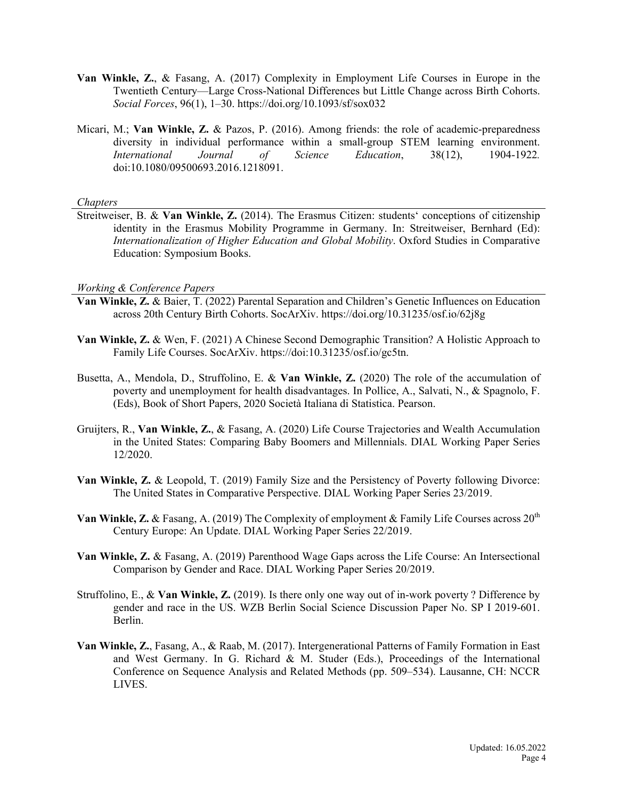- **Van Winkle, Z.**, & Fasang, A. (2017) Complexity in Employment Life Courses in Europe in the Twentieth Century—Large Cross-National Differences but Little Change across Birth Cohorts. *Social Forces*, 96(1), 1–30. https://doi.org/10.1093/sf/sox032
- Micari, M.; **Van Winkle, Z.** & Pazos, P. (2016). Among friends: the role of academic-preparedness diversity in individual performance within a small-group STEM learning environment. *International Journal of Science Education*, 38(12), 1904-1922*.*  doi:10.1080/09500693.2016.1218091.

#### *Chapters*

Streitweiser, B. & **Van Winkle, Z.** (2014). The Erasmus Citizen: students' conceptions of citizenship identity in the Erasmus Mobility Programme in Germany. In: Streitweiser, Bernhard (Ed): *Internationalization of Higher Education and Global Mobility*. Oxford Studies in Comparative Education: Symposium Books.

#### *Working & Conference Papers*

- **Van Winkle, Z.** & Baier, T. (2022) Parental Separation and Children's Genetic Influences on Education across 20th Century Birth Cohorts. SocArXiv. https://doi.org/10.31235/osf.io/62j8g
- **Van Winkle, Z.** & Wen, F. (2021) A Chinese Second Demographic Transition? A Holistic Approach to Family Life Courses. SocArXiv. https://doi:10.31235/osf.io/gc5tn.
- Busetta, A., Mendola, D., Struffolino, E. & **Van Winkle, Z.** (2020) The role of the accumulation of poverty and unemployment for health disadvantages. In Pollice, A., Salvati, N., & Spagnolo, F. (Eds), Book of Short Papers, 2020 Società Italiana di Statistica. Pearson.
- Gruijters, R., **Van Winkle, Z.**, & Fasang, A. (2020) Life Course Trajectories and Wealth Accumulation in the United States: Comparing Baby Boomers and Millennials. DIAL Working Paper Series 12/2020.
- **Van Winkle, Z.** & Leopold, T. (2019) Family Size and the Persistency of Poverty following Divorce: The United States in Comparative Perspective. DIAL Working Paper Series 23/2019.
- **Van Winkle, Z.** & Fasang, A. (2019) The Complexity of employment & Family Life Courses across 20<sup>th</sup> Century Europe: An Update. DIAL Working Paper Series 22/2019.
- **Van Winkle, Z.** & Fasang, A. (2019) Parenthood Wage Gaps across the Life Course: An Intersectional Comparison by Gender and Race. DIAL Working Paper Series 20/2019.
- Struffolino, E., & **Van Winkle, Z.** (2019). Is there only one way out of in-work poverty ? Difference by gender and race in the US. WZB Berlin Social Science Discussion Paper No. SP I 2019-601. Berlin.
- **Van Winkle, Z.**, Fasang, A., & Raab, M. (2017). Intergenerational Patterns of Family Formation in East and West Germany. In G. Richard & M. Studer (Eds.), Proceedings of the International Conference on Sequence Analysis and Related Methods (pp. 509–534). Lausanne, CH: NCCR LIVES.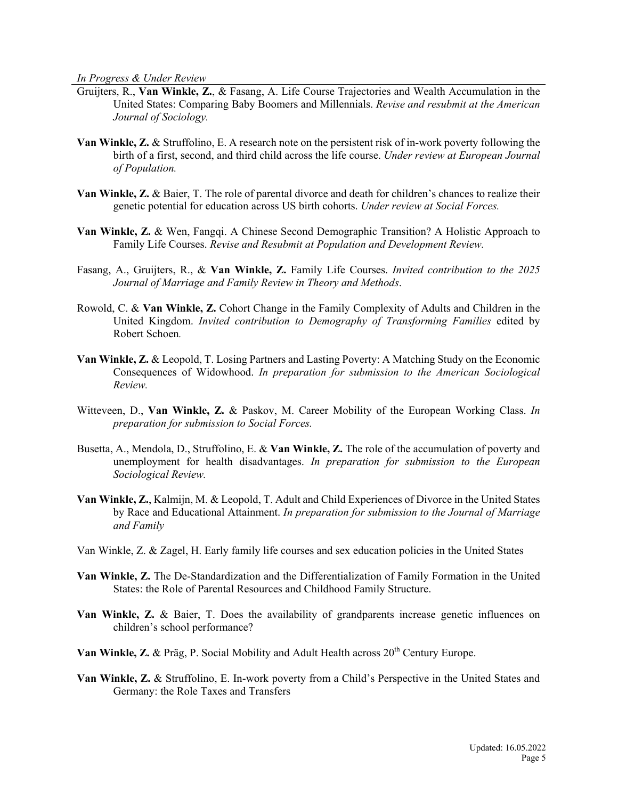*In Progress & Under Review*

- Gruijters, R., **Van Winkle, Z.**, & Fasang, A. Life Course Trajectories and Wealth Accumulation in the United States: Comparing Baby Boomers and Millennials. *Revise and resubmit at the American Journal of Sociology.*
- **Van Winkle, Z.** & Struffolino, E. A research note on the persistent risk of in-work poverty following the birth of a first, second, and third child across the life course. *Under review at European Journal of Population.*
- **Van Winkle, Z.** & Baier, T. The role of parental divorce and death for children's chances to realize their genetic potential for education across US birth cohorts. *Under review at Social Forces.*
- **Van Winkle, Z.** & Wen, Fangqi. A Chinese Second Demographic Transition? A Holistic Approach to Family Life Courses. *Revise and Resubmit at Population and Development Review.*
- Fasang, A., Gruijters, R., & **Van Winkle, Z.** Family Life Courses. *Invited contribution to the 2025 Journal of Marriage and Family Review in Theory and Methods*.
- Rowold, C. & **Van Winkle, Z.** Cohort Change in the Family Complexity of Adults and Children in the United Kingdom. *Invited contribution to Demography of Transforming Families* edited by Robert Schoen*.*
- **Van Winkle, Z.** & Leopold, T. Losing Partners and Lasting Poverty: A Matching Study on the Economic Consequences of Widowhood. *In preparation for submission to the American Sociological Review.*
- Witteveen, D., **Van Winkle, Z.** & Paskov, M. Career Mobility of the European Working Class. *In preparation for submission to Social Forces.*
- Busetta, A., Mendola, D., Struffolino, E. & **Van Winkle, Z.** The role of the accumulation of poverty and unemployment for health disadvantages. *In preparation for submission to the European Sociological Review.*
- **Van Winkle, Z.**, Kalmijn, M. & Leopold, T. Adult and Child Experiences of Divorce in the United States by Race and Educational Attainment. *In preparation for submission to the Journal of Marriage and Family*
- Van Winkle, Z. & Zagel, H. Early family life courses and sex education policies in the United States
- **Van Winkle, Z.** The De-Standardization and the Differentialization of Family Formation in the United States: the Role of Parental Resources and Childhood Family Structure.
- **Van Winkle, Z.** & Baier, T. Does the availability of grandparents increase genetic influences on children's school performance?
- Van Winkle, Z. & Präg, P. Social Mobility and Adult Health across 20<sup>th</sup> Century Europe.
- **Van Winkle, Z.** & Struffolino, E. In-work poverty from a Child's Perspective in the United States and Germany: the Role Taxes and Transfers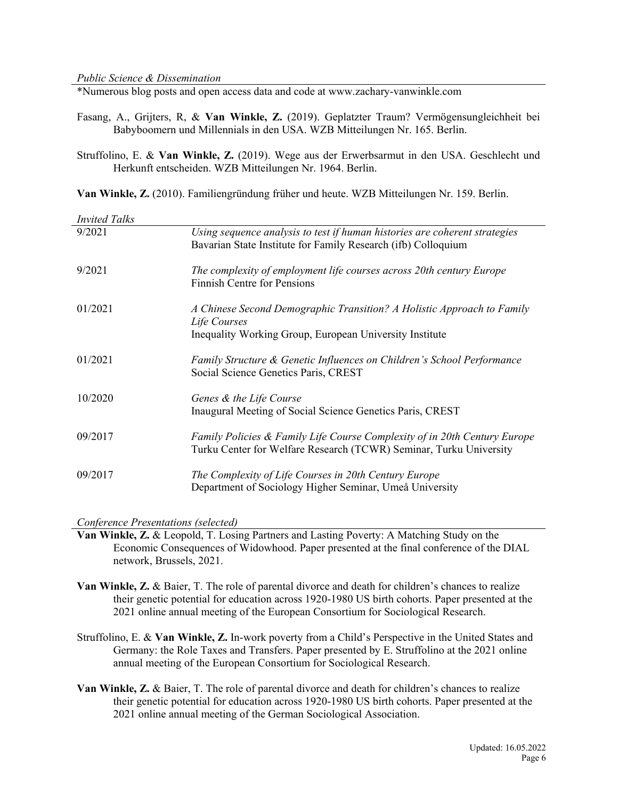\*Numerous blog posts and open access data and code at www.zachary-vanwinkle.com

- Fasang, A., Grijters, R, & **Van Winkle, Z.** (2019). Geplatzter Traum? Vermögensungleichheit bei Babyboomern und Millennials in den USA. WZB Mitteilungen Nr. 165. Berlin.
- Struffolino, E. & **Van Winkle, Z.** (2019). Wege aus der Erwerbsarmut in den USA. Geschlecht und Herkunft entscheiden. WZB Mitteilungen Nr. 1964. Berlin.

**Van Winkle, Z.** (2010). Familiengründung früher und heute. WZB Mitteilungen Nr. 159. Berlin.

| <b>Invited Talks</b> |                                                                                                                                                   |
|----------------------|---------------------------------------------------------------------------------------------------------------------------------------------------|
| 9/2021               | Using sequence analysis to test if human histories are coherent strategies<br>Bavarian State Institute for Family Research (ifb) Colloquium       |
| 9/2021               | The complexity of employment life courses across 20th century Europe<br><b>Finnish Centre for Pensions</b>                                        |
| 01/2021              | A Chinese Second Demographic Transition? A Holistic Approach to Family<br>Life Courses<br>Inequality Working Group, European University Institute |
| 01/2021              | Family Structure & Genetic Influences on Children's School Performance<br>Social Science Genetics Paris, CREST                                    |
| 10/2020              | Genes & the Life Course<br>Inaugural Meeting of Social Science Genetics Paris, CREST                                                              |
| 09/2017              | Family Policies & Family Life Course Complexity of in 20th Century Europe<br>Turku Center for Welfare Research (TCWR) Seminar, Turku University   |
| 09/2017              | The Complexity of Life Courses in 20th Century Europe<br>Department of Sociology Higher Seminar, Umeå University                                  |

*Conference Presentations (selected)*

**Van Winkle, Z.** & Leopold, T. Losing Partners and Lasting Poverty: A Matching Study on the Economic Consequences of Widowhood. Paper presented at the final conference of the DIAL network, Brussels, 2021.

- **Van Winkle, Z.** & Baier, T. The role of parental divorce and death for children's chances to realize their genetic potential for education across 1920-1980 US birth cohorts. Paper presented at the 2021 online annual meeting of the European Consortium for Sociological Research.
- Struffolino, E. & **Van Winkle, Z.** In-work poverty from a Child's Perspective in the United States and Germany: the Role Taxes and Transfers. Paper presented by E. Struffolino at the 2021 online annual meeting of the European Consortium for Sociological Research.
- **Van Winkle, Z.** & Baier, T. The role of parental divorce and death for children's chances to realize their genetic potential for education across 1920-1980 US birth cohorts. Paper presented at the 2021 online annual meeting of the German Sociological Association.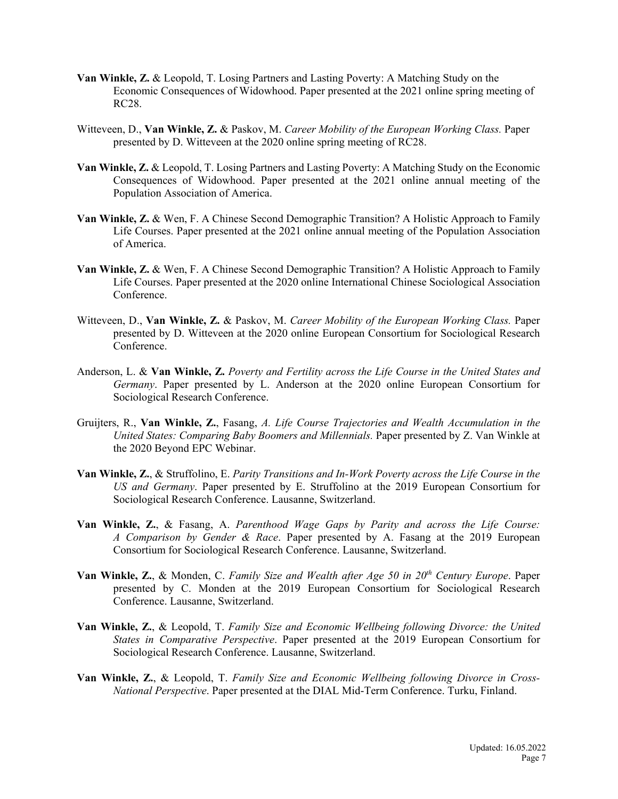- **Van Winkle, Z.** & Leopold, T. Losing Partners and Lasting Poverty: A Matching Study on the Economic Consequences of Widowhood. Paper presented at the 2021 online spring meeting of RC28.
- Witteveen, D., **Van Winkle, Z.** & Paskov, M. *Career Mobility of the European Working Class.* Paper presented by D. Witteveen at the 2020 online spring meeting of RC28.
- **Van Winkle, Z.** & Leopold, T. Losing Partners and Lasting Poverty: A Matching Study on the Economic Consequences of Widowhood. Paper presented at the 2021 online annual meeting of the Population Association of America.
- **Van Winkle, Z.** & Wen, F. A Chinese Second Demographic Transition? A Holistic Approach to Family Life Courses. Paper presented at the 2021 online annual meeting of the Population Association of America.
- **Van Winkle, Z.** & Wen, F. A Chinese Second Demographic Transition? A Holistic Approach to Family Life Courses. Paper presented at the 2020 online International Chinese Sociological Association Conference.
- Witteveen, D., **Van Winkle, Z.** & Paskov, M. *Career Mobility of the European Working Class.* Paper presented by D. Witteveen at the 2020 online European Consortium for Sociological Research Conference.
- Anderson, L. & **Van Winkle, Z.** *Poverty and Fertility across the Life Course in the United States and Germany*. Paper presented by L. Anderson at the 2020 online European Consortium for Sociological Research Conference.
- Gruijters, R., **Van Winkle, Z.**, Fasang, *A. Life Course Trajectories and Wealth Accumulation in the United States: Comparing Baby Boomers and Millennials.* Paper presented by Z. Van Winkle at the 2020 Beyond EPC Webinar.
- **Van Winkle, Z.**, & Struffolino, E. *Parity Transitions and In-Work Poverty across the Life Course in the US and Germany*. Paper presented by E. Struffolino at the 2019 European Consortium for Sociological Research Conference. Lausanne, Switzerland.
- **Van Winkle, Z.**, & Fasang, A. *Parenthood Wage Gaps by Parity and across the Life Course: A Comparison by Gender & Race*. Paper presented by A. Fasang at the 2019 European Consortium for Sociological Research Conference. Lausanne, Switzerland.
- **Van Winkle, Z.**, & Monden, C. *Family Size and Wealth after Age 50 in 20th Century Europe*. Paper presented by C. Monden at the 2019 European Consortium for Sociological Research Conference. Lausanne, Switzerland.
- **Van Winkle, Z.**, & Leopold, T. *Family Size and Economic Wellbeing following Divorce: the United States in Comparative Perspective*. Paper presented at the 2019 European Consortium for Sociological Research Conference. Lausanne, Switzerland.
- **Van Winkle, Z.**, & Leopold, T. *Family Size and Economic Wellbeing following Divorce in Cross-National Perspective*. Paper presented at the DIAL Mid-Term Conference. Turku, Finland.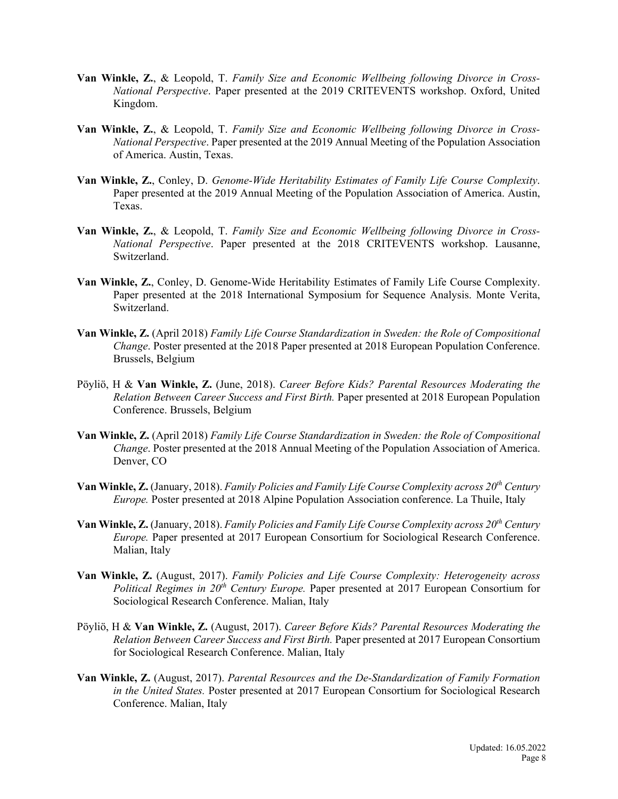- **Van Winkle, Z.**, & Leopold, T. *Family Size and Economic Wellbeing following Divorce in Cross-National Perspective*. Paper presented at the 2019 CRITEVENTS workshop. Oxford, United Kingdom.
- **Van Winkle, Z.**, & Leopold, T. *Family Size and Economic Wellbeing following Divorce in Cross-National Perspective*. Paper presented at the 2019 Annual Meeting of the Population Association of America. Austin, Texas.
- **Van Winkle, Z.**, Conley, D. *Genome-Wide Heritability Estimates of Family Life Course Complexity*. Paper presented at the 2019 Annual Meeting of the Population Association of America. Austin, Texas.
- **Van Winkle, Z.**, & Leopold, T. *Family Size and Economic Wellbeing following Divorce in Cross-National Perspective*. Paper presented at the 2018 CRITEVENTS workshop. Lausanne, Switzerland.
- **Van Winkle, Z.**, Conley, D. Genome-Wide Heritability Estimates of Family Life Course Complexity. Paper presented at the 2018 International Symposium for Sequence Analysis. Monte Verita, Switzerland.
- **Van Winkle, Z.** (April 2018) *Family Life Course Standardization in Sweden: the Role of Compositional Change*. Poster presented at the 2018 Paper presented at 2018 European Population Conference. Brussels, Belgium
- Pöyliö, H & **Van Winkle, Z.** (June, 2018). *Career Before Kids? Parental Resources Moderating the Relation Between Career Success and First Birth.* Paper presented at 2018 European Population Conference. Brussels, Belgium
- **Van Winkle, Z.** (April 2018) *Family Life Course Standardization in Sweden: the Role of Compositional Change*. Poster presented at the 2018 Annual Meeting of the Population Association of America. Denver, CO
- **Van Winkle, Z.** (January, 2018). *Family Policies and Family Life Course Complexity across 20th Century Europe.* Poster presented at 2018 Alpine Population Association conference. La Thuile, Italy
- **Van Winkle, Z.** (January, 2018). *Family Policies and Family Life Course Complexity across 20th Century Europe.* Paper presented at 2017 European Consortium for Sociological Research Conference. Malian, Italy
- **Van Winkle, Z.** (August, 2017). *Family Policies and Life Course Complexity: Heterogeneity across Political Regimes in 20th Century Europe.* Paper presented at 2017 European Consortium for Sociological Research Conference. Malian, Italy
- Pöyliö, H & **Van Winkle, Z.** (August, 2017). *Career Before Kids? Parental Resources Moderating the Relation Between Career Success and First Birth.* Paper presented at 2017 European Consortium for Sociological Research Conference. Malian, Italy
- **Van Winkle, Z.** (August, 2017). *Parental Resources and the De-Standardization of Family Formation in the United States.* Poster presented at 2017 European Consortium for Sociological Research Conference. Malian, Italy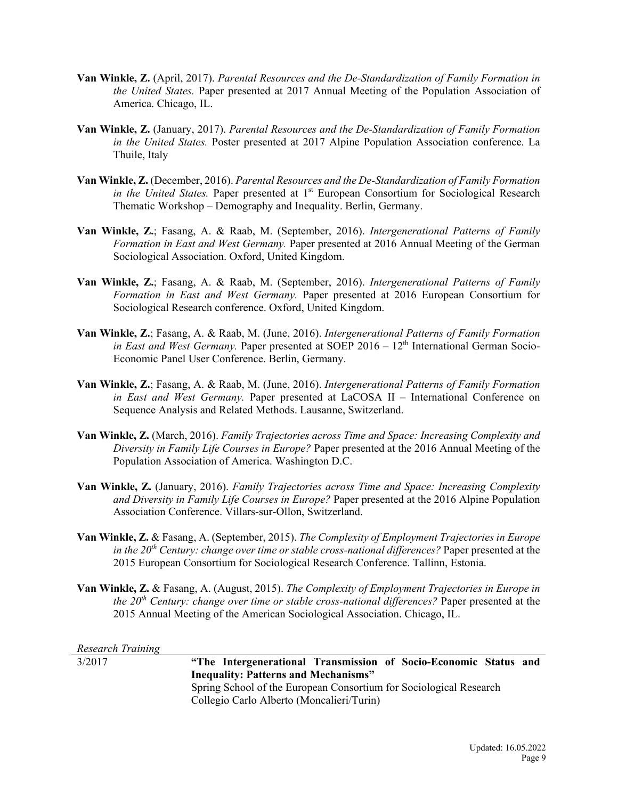- **Van Winkle, Z.** (April, 2017). *Parental Resources and the De-Standardization of Family Formation in the United States.* Paper presented at 2017 Annual Meeting of the Population Association of America. Chicago, IL.
- **Van Winkle, Z.** (January, 2017). *Parental Resources and the De-Standardization of Family Formation in the United States.* Poster presented at 2017 Alpine Population Association conference. La Thuile, Italy
- **Van Winkle, Z.** (December, 2016). *Parental Resources and the De-Standardization of Family Formation in the United States.* Paper presented at 1<sup>st</sup> European Consortium for Sociological Research Thematic Workshop – Demography and Inequality. Berlin, Germany.
- **Van Winkle, Z.**; Fasang, A. & Raab, M. (September, 2016). *Intergenerational Patterns of Family Formation in East and West Germany.* Paper presented at 2016 Annual Meeting of the German Sociological Association. Oxford, United Kingdom.
- **Van Winkle, Z.**; Fasang, A. & Raab, M. (September, 2016). *Intergenerational Patterns of Family Formation in East and West Germany.* Paper presented at 2016 European Consortium for Sociological Research conference. Oxford, United Kingdom.
- **Van Winkle, Z.**; Fasang, A. & Raab, M. (June, 2016). *Intergenerational Patterns of Family Formation in East and West Germany.* Paper presented at SOEP  $2016 - 12<sup>th</sup>$  International German Socio-Economic Panel User Conference. Berlin, Germany.
- **Van Winkle, Z.**; Fasang, A. & Raab, M. (June, 2016). *Intergenerational Patterns of Family Formation in East and West Germany.* Paper presented at LaCOSA II – International Conference on Sequence Analysis and Related Methods. Lausanne, Switzerland.
- **Van Winkle, Z.** (March, 2016). *Family Trajectories across Time and Space: Increasing Complexity and Diversity in Family Life Courses in Europe?* Paper presented at the 2016 Annual Meeting of the Population Association of America. Washington D.C.
- **Van Winkle, Z.** (January, 2016). *Family Trajectories across Time and Space: Increasing Complexity and Diversity in Family Life Courses in Europe?* Paper presented at the 2016 Alpine Population Association Conference. Villars-sur-Ollon, Switzerland.
- **Van Winkle, Z.** & Fasang, A. (September, 2015). *The Complexity of Employment Trajectories in Europe in the 20th Century: change over time or stable cross-national differences?* Paper presented at the 2015 European Consortium for Sociological Research Conference. Tallinn, Estonia.
- **Van Winkle, Z.** & Fasang, A. (August, 2015). *The Complexity of Employment Trajectories in Europe in the 20th Century: change over time or stable cross-national differences?* Paper presented at the 2015 Annual Meeting of the American Sociological Association. Chicago, IL.

*Research Training*

3/2017 **"The Intergenerational Transmission of Socio-Economic Status and Inequality: Patterns and Mechanisms"** Spring School of the European Consortium for Sociological Research Collegio Carlo Alberto (Moncalieri/Turin)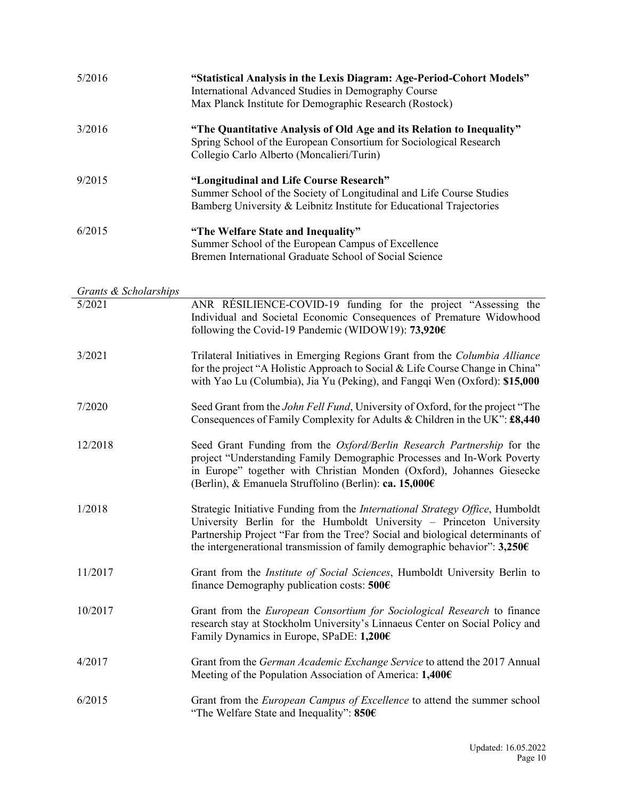| 5/2016                          | "Statistical Analysis in the Lexis Diagram: Age-Period-Cohort Models"<br>International Advanced Studies in Demography Course<br>Max Planck Institute for Demographic Research (Rostock)                                                                                                                                 |
|---------------------------------|-------------------------------------------------------------------------------------------------------------------------------------------------------------------------------------------------------------------------------------------------------------------------------------------------------------------------|
| 3/2016                          | "The Quantitative Analysis of Old Age and its Relation to Inequality"<br>Spring School of the European Consortium for Sociological Research<br>Collegio Carlo Alberto (Moncalieri/Turin)                                                                                                                                |
| 9/2015                          | "Longitudinal and Life Course Research"<br>Summer School of the Society of Longitudinal and Life Course Studies<br>Bamberg University & Leibnitz Institute for Educational Trajectories                                                                                                                                 |
| 6/2015                          | "The Welfare State and Inequality"<br>Summer School of the European Campus of Excellence<br>Bremen International Graduate School of Social Science                                                                                                                                                                      |
|                                 |                                                                                                                                                                                                                                                                                                                         |
| Grants & Scholarships<br>5/2021 | ANR RÉSILIENCE-COVID-19 funding for the project "Assessing the<br>Individual and Societal Economic Consequences of Premature Widowhood<br>following the Covid-19 Pandemic (WIDOW19): 73,920€                                                                                                                            |
| 3/2021                          | Trilateral Initiatives in Emerging Regions Grant from the Columbia Alliance<br>for the project "A Holistic Approach to Social & Life Course Change in China"<br>with Yao Lu (Columbia), Jia Yu (Peking), and Fangqi Wen (Oxford): \$15,000                                                                              |
| 7/2020                          | Seed Grant from the John Fell Fund, University of Oxford, for the project "The<br>Consequences of Family Complexity for Adults & Children in the UK": £8,440                                                                                                                                                            |
| 12/2018                         | Seed Grant Funding from the Oxford/Berlin Research Partnership for the<br>project "Understanding Family Demographic Processes and In-Work Poverty<br>in Europe" together with Christian Monden (Oxford), Johannes Giesecke<br>(Berlin), & Emanuela Struffolino (Berlin): ca. 15,000€                                    |
| 1/2018                          | Strategic Initiative Funding from the International Strategy Office, Humboldt<br>University Berlin for the Humboldt University - Princeton University<br>Partnership Project "Far from the Tree? Social and biological determinants of<br>the intergenerational transmission of family demographic behavior": $3,250$ € |
| 11/2017                         | Grant from the <i>Institute of Social Sciences</i> , Humboldt University Berlin to<br>finance Demography publication costs: $500 \in$                                                                                                                                                                                   |
| 10/2017                         | Grant from the <i>European Consortium for Sociological Research</i> to finance<br>research stay at Stockholm University's Linnaeus Center on Social Policy and<br>Family Dynamics in Europe, SPaDE: 1,200€                                                                                                              |
| 4/2017                          | Grant from the German Academic Exchange Service to attend the 2017 Annual<br>Meeting of the Population Association of America: 1,400€                                                                                                                                                                                   |
| 6/2015                          | Grant from the <i>European Campus of Excellence</i> to attend the summer school<br>"The Welfare State and Inequality": 850€                                                                                                                                                                                             |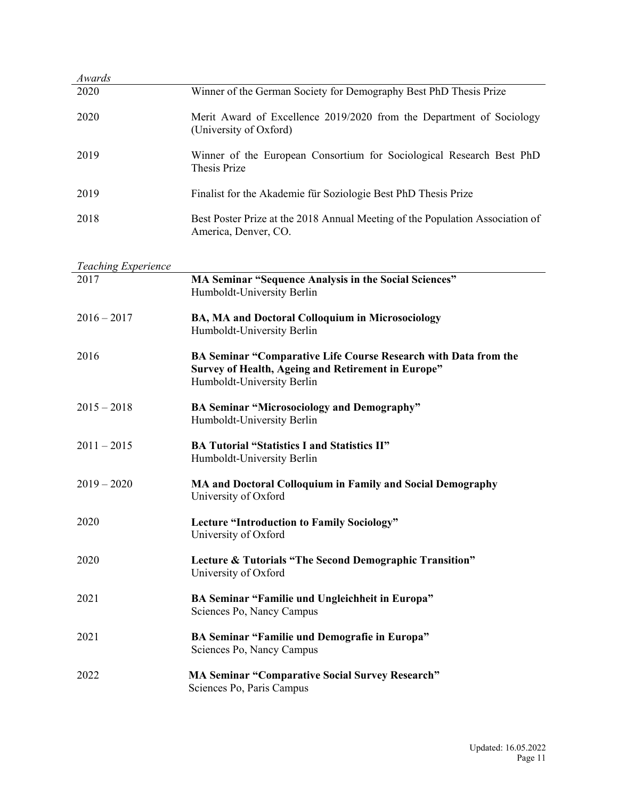| Awards                             |                                                                                                                                                     |
|------------------------------------|-----------------------------------------------------------------------------------------------------------------------------------------------------|
| 2020                               | Winner of the German Society for Demography Best PhD Thesis Prize                                                                                   |
| 2020                               | Merit Award of Excellence 2019/2020 from the Department of Sociology<br>(University of Oxford)                                                      |
| 2019                               | Winner of the European Consortium for Sociological Research Best PhD<br>Thesis Prize                                                                |
| 2019                               | Finalist for the Akademie für Soziologie Best PhD Thesis Prize                                                                                      |
| 2018                               | Best Poster Prize at the 2018 Annual Meeting of the Population Association of<br>America, Denver, CO.                                               |
|                                    |                                                                                                                                                     |
| <b>Teaching Experience</b><br>2017 | MA Seminar "Sequence Analysis in the Social Sciences"<br>Humboldt-University Berlin                                                                 |
| $2016 - 2017$                      | BA, MA and Doctoral Colloquium in Microsociology<br>Humboldt-University Berlin                                                                      |
| 2016                               | BA Seminar "Comparative Life Course Research with Data from the<br>Survey of Health, Ageing and Retirement in Europe"<br>Humboldt-University Berlin |
| $2015 - 2018$                      | <b>BA Seminar "Microsociology and Demography"</b><br>Humboldt-University Berlin                                                                     |
| $2011 - 2015$                      | <b>BA Tutorial "Statistics I and Statistics II"</b><br>Humboldt-University Berlin                                                                   |
| $2019 - 2020$                      | MA and Doctoral Colloquium in Family and Social Demography<br>University of Oxford                                                                  |
| 2020                               | <b>Lecture "Introduction to Family Sociology"</b><br>University of Oxford                                                                           |
| 2020                               | Lecture & Tutorials "The Second Demographic Transition"<br>University of Oxford                                                                     |
| 2021                               | BA Seminar "Familie und Ungleichheit in Europa"<br>Sciences Po, Nancy Campus                                                                        |
| 2021                               | BA Seminar "Familie und Demografie in Europa"<br>Sciences Po, Nancy Campus                                                                          |
| 2022                               | <b>MA Seminar "Comparative Social Survey Research"</b><br>Sciences Po, Paris Campus                                                                 |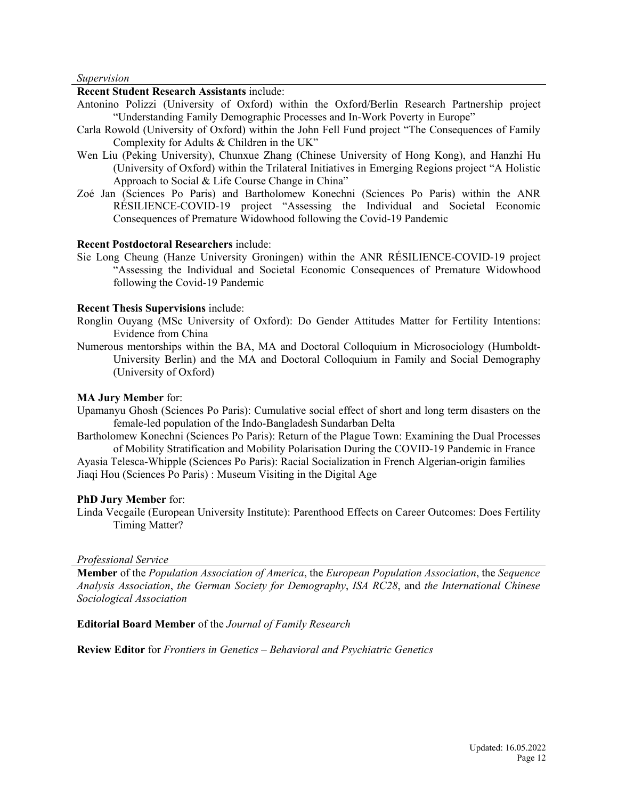#### *Supervision*

### **Recent Student Research Assistants** include:

- Antonino Polizzi (University of Oxford) within the Oxford/Berlin Research Partnership project "Understanding Family Demographic Processes and In-Work Poverty in Europe"
- Carla Rowold (University of Oxford) within the John Fell Fund project "The Consequences of Family Complexity for Adults & Children in the UK"
- Wen Liu (Peking University), Chunxue Zhang (Chinese University of Hong Kong), and Hanzhi Hu (University of Oxford) within the Trilateral Initiatives in Emerging Regions project "A Holistic Approach to Social & Life Course Change in China"
- Zoé Jan (Sciences Po Paris) and Bartholomew Konechni (Sciences Po Paris) within the ANR RÉSILIENCE-COVID-19 project "Assessing the Individual and Societal Economic Consequences of Premature Widowhood following the Covid-19 Pandemic

## **Recent Postdoctoral Researchers** include:

Sie Long Cheung (Hanze University Groningen) within the ANR RÉSILIENCE-COVID-19 project "Assessing the Individual and Societal Economic Consequences of Premature Widowhood following the Covid-19 Pandemic

#### **Recent Thesis Supervisions** include:

- Ronglin Ouyang (MSc University of Oxford): Do Gender Attitudes Matter for Fertility Intentions: Evidence from China
- Numerous mentorships within the BA, MA and Doctoral Colloquium in Microsociology (Humboldt-University Berlin) and the MA and Doctoral Colloquium in Family and Social Demography (University of Oxford)

#### **MA Jury Member** for:

- Upamanyu Ghosh (Sciences Po Paris): Cumulative social effect of short and long term disasters on the female-led population of the Indo-Bangladesh Sundarban Delta
- Bartholomew Konechni (Sciences Po Paris): Return of the Plague Town: Examining the Dual Processes of Mobility Stratification and Mobility Polarisation During the COVID-19 Pandemic in France

Ayasia Telesca-Whipple (Sciences Po Paris): Racial Socialization in French Algerian-origin families Jiaqi Hou (Sciences Po Paris) : Museum Visiting in the Digital Age

#### **PhD Jury Member** for:

Linda Vecgaile (European University Institute): Parenthood Effects on Career Outcomes: Does Fertility Timing Matter?

#### *Professional Service*

**Member** of the *Population Association of America*, the *European Population Association*, the *Sequence Analysis Association*, *the German Society for Demography*, *ISA RC28*, and *the International Chinese Sociological Association*

#### **Editorial Board Member** of the *Journal of Family Research*

**Review Editor** for *Frontiers in Genetics – Behavioral and Psychiatric Genetics*